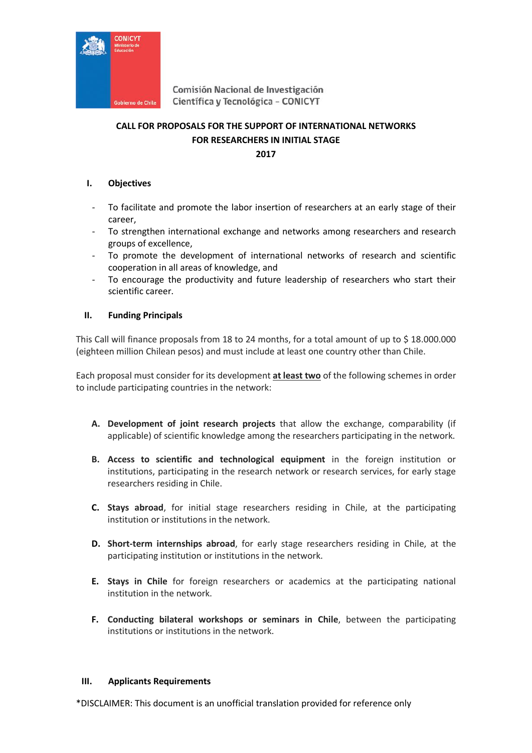

# **CALL FOR PROPOSALS FOR THE SUPPORT OF INTERNATIONAL NETWORKS FOR RESEARCHERS IN INITIAL STAGE 2017**

### **I. Objectives**

- To facilitate and promote the labor insertion of researchers at an early stage of their career,
- To strengthen international exchange and networks among researchers and research groups of excellence,
- To promote the development of international networks of research and scientific cooperation in all areas of knowledge, and
- To encourage the productivity and future leadership of researchers who start their scientific career.

### **II. Funding Principals**

This Call will finance proposals from 18 to 24 months, for a total amount of up to \$ 18.000.000 (eighteen million Chilean pesos) and must include at least one country other than Chile.

Each proposal must consider for its development **at least two** of the following schemes in order to include participating countries in the network:

- **A. Development of joint research projects** that allow the exchange, comparability (if applicable) of scientific knowledge among the researchers participating in the network.
- **B. Access to scientific and technological equipment** in the foreign institution or institutions, participating in the research network or research services, for early stage researchers residing in Chile.
- **C. Stays abroad**, for initial stage researchers residing in Chile, at the participating institution or institutions in the network.
- **D. Short-term internships abroad**, for early stage researchers residing in Chile, at the participating institution or institutions in the network.
- **E. Stays in Chile** for foreign researchers or academics at the participating national institution in the network.
- **F. Conducting bilateral workshops or seminars in Chile**, between the participating institutions or institutions in the network.

### **III. Applicants Requirements**

\*DISCLAIMER: This document is an unofficial translation provided for reference only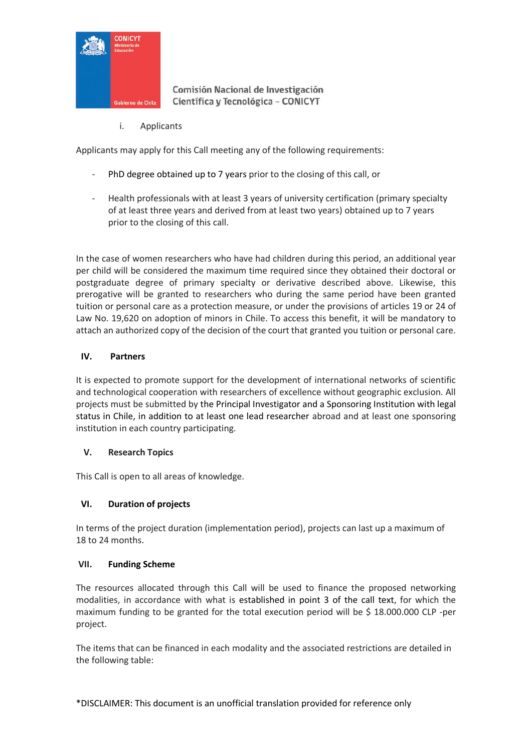

i. Applicants

Applicants may apply for this Call meeting any of the following requirements:

- PhD degree obtained up to 7 years prior to the closing of this call, or
- Health professionals with at least 3 years of university certification (primary specialty of at least three years and derived from at least two years) obtained up to 7 years prior to the closing of this call.

In the case of women researchers who have had children during this period, an additional year per child will be considered the maximum time required since they obtained their doctoral or postgraduate degree of primary specialty or derivative described above. Likewise, this prerogative will be granted to researchers who during the same period have been granted tuition or personal care as a protection measure, or under the provisions of articles 19 or 24 of Law No. 19,620 on adoption of minors in Chile. To access this benefit, it will be mandatory to attach an authorized copy of the decision of the court that granted you tuition or personal care.

# **IV. Partners**

It is expected to promote support for the development of international networks of scientific and technological cooperation with researchers of excellence without geographic exclusion. All projects must be submitted by the Principal Investigator and a Sponsoring Institution with legal status in Chile, in addition to at least one lead researcher abroad and at least one sponsoring institution in each country participating.

# **V. Research Topics**

This Call is open to all areas of knowledge.

# **VI. Duration of projects**

In terms of the project duration (implementation period), projects can last up a maximum of 18 to 24 months.

# **VII. Funding Scheme**

The resources allocated through this Call will be used to finance the proposed networking modalities, in accordance with what is established in point 3 of the call text, for which the maximum funding to be granted for the total execution period will be \$ 18.000.000 CLP -per project.

The items that can be financed in each modality and the associated restrictions are detailed in the following table: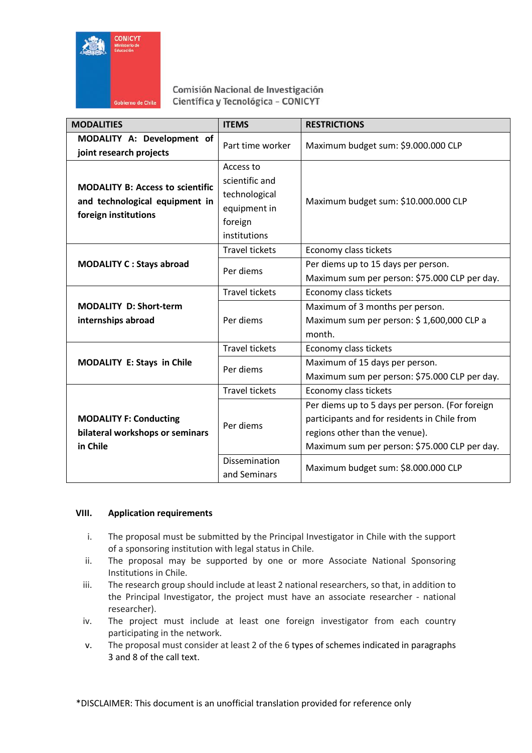

| <b>MODALITIES</b>                                                                                 | <b>ITEMS</b>                                                                            | <b>RESTRICTIONS</b>                                                                                                                                                                                                                                |
|---------------------------------------------------------------------------------------------------|-----------------------------------------------------------------------------------------|----------------------------------------------------------------------------------------------------------------------------------------------------------------------------------------------------------------------------------------------------|
| MODALITY A: Development of<br>joint research projects                                             | Part time worker                                                                        | Maximum budget sum: \$9.000.000 CLP                                                                                                                                                                                                                |
| <b>MODALITY B: Access to scientific</b><br>and technological equipment in<br>foreign institutions | Access to<br>scientific and<br>technological<br>equipment in<br>foreign<br>institutions | Maximum budget sum: \$10.000.000 CLP                                                                                                                                                                                                               |
| <b>MODALITY C: Stays abroad</b>                                                                   | <b>Travel tickets</b><br>Per diems                                                      | Economy class tickets<br>Per diems up to 15 days per person.<br>Maximum sum per person: \$75.000 CLP per day.                                                                                                                                      |
| <b>MODALITY D: Short-term</b><br>internships abroad                                               | <b>Travel tickets</b><br>Per diems                                                      | Economy class tickets<br>Maximum of 3 months per person.<br>Maximum sum per person: \$1,600,000 CLP a<br>month.                                                                                                                                    |
| <b>MODALITY E: Stays in Chile</b>                                                                 | <b>Travel tickets</b><br>Per diems                                                      | Economy class tickets<br>Maximum of 15 days per person.<br>Maximum sum per person: \$75.000 CLP per day.                                                                                                                                           |
| <b>MODALITY F: Conducting</b><br>bilateral workshops or seminars<br>in Chile                      | <b>Travel tickets</b><br>Per diems<br><b>Dissemination</b><br>and Seminars              | Economy class tickets<br>Per diems up to 5 days per person. (For foreign<br>participants and for residents in Chile from<br>regions other than the venue).<br>Maximum sum per person: \$75.000 CLP per day.<br>Maximum budget sum: \$8.000.000 CLP |

# **VIII. Application requirements**

- i. The proposal must be submitted by the Principal Investigator in Chile with the support of a sponsoring institution with legal status in Chile.
- ii. The proposal may be supported by one or more Associate National Sponsoring Institutions in Chile.
- iii. The research group should include at least 2 national researchers, so that, in addition to the Principal Investigator, the project must have an associate researcher - national researcher).
- iv. The project must include at least one foreign investigator from each country participating in the network.
- v. The proposal must consider at least 2 of the 6 types of schemes indicated in paragraphs 3 and 8 of the call text.